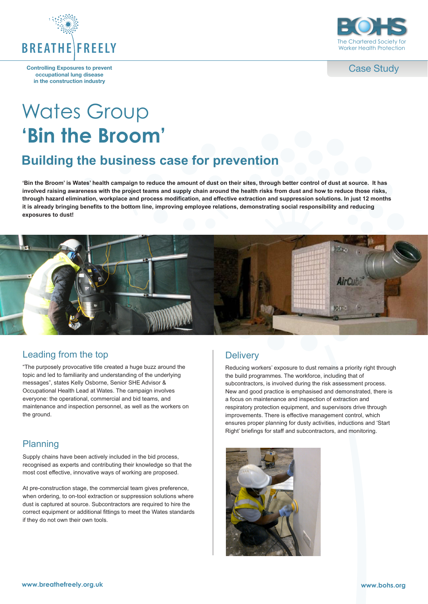

**Controlling Exposures to prevent occupational lung disease in the construction industry**



Case Study

# Wates Group **'Bin the Broom'**

## **Building the business case for prevention**

**'Bin the Broom' is Wates' health campaign to reduce the amount of dust on their sites, through better control of dust at source. It has involved raising awareness with the project teams and supply chain around the health risks from dust and how to reduce those risks, through hazard elimination, workplace and process modification, and effective extraction and suppression solutions. In just 12 months it is already bringing benefits to the bottom line, improving employee relations, demonstrating social responsibility and reducing exposures to dust!**



#### Leading from the top

"The purposely provocative title created a huge buzz around the topic and led to familiarity and understanding of the underlying messages", states Kelly Osborne, Senior SHE Advisor & Occupational Health Lead at Wates. The campaign involves everyone: the operational, commercial and bid teams, and maintenance and inspection personnel, as well as the workers on the ground.

#### Planning

Supply chains have been actively included in the bid process, recognised as experts and contributing their knowledge so that the most cost effective, innovative ways of working are proposed.

At pre-construction stage, the commercial team gives preference, when ordering, to on-tool extraction or suppression solutions where dust is captured at source. Subcontractors are required to hire the correct equipment or additional fittings to meet the Wates standards if they do not own their own tools.

#### **Delivery**

Reducing workers' exposure to dust remains a priority right through the build programmes. The workforce, including that of subcontractors, is involved during the risk assessment process. New and good practice is emphasised and demonstrated, there is a focus on maintenance and inspection of extraction and respiratory protection equipment, and supervisors drive through improvements. There is effective management control, which ensures proper planning for dusty activities, inductions and 'Start Right' briefings for staff and subcontractors, and monitoring.